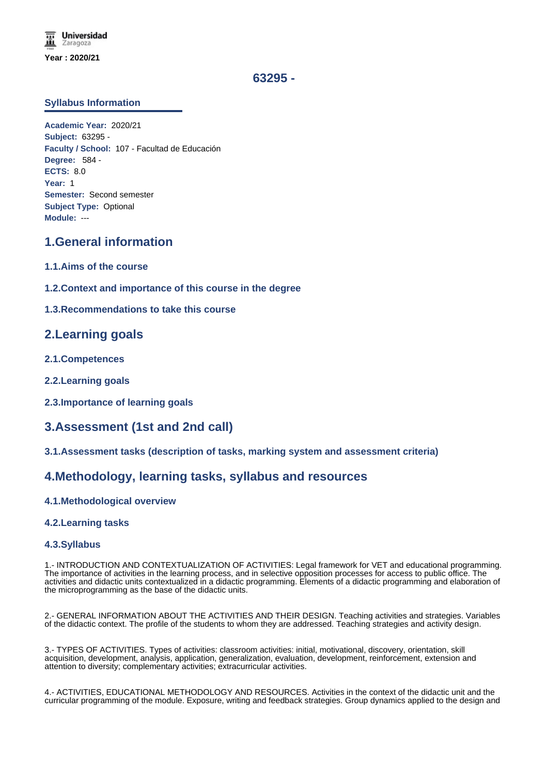### **63295 -**

#### **Syllabus Information**

**Academic Year:** 2020/21 **Subject:** 63295 - **Faculty / School:** 107 - Facultad de Educación **Degree:** 584 - **ECTS:** 8.0 **Year:** 1 **Semester:** Second semester **Subject Type:** Optional **Module:** ---

# **1.General information**

- **1.1.Aims of the course**
- **1.2.Context and importance of this course in the degree**

### **1.3.Recommendations to take this course**

## **2.Learning goals**

- **2.1.Competences**
- **2.2.Learning goals**
- **2.3.Importance of learning goals**

# **3.Assessment (1st and 2nd call)**

#### **3.1.Assessment tasks (description of tasks, marking system and assessment criteria)**

### **4.Methodology, learning tasks, syllabus and resources**

#### **4.1.Methodological overview**

#### **4.2.Learning tasks**

#### **4.3.Syllabus**

1.- INTRODUCTION AND CONTEXTUALIZATION OF ACTIVITIES: Legal framework for VET and educational programming. The importance of activities in the learning process, and in selective opposition processes for access to public office. The activities and didactic units contextualized in a didactic programming. Elements of a didactic programming and elaboration of the microprogramming as the base of the didactic units.

2.- GENERAL INFORMATION ABOUT THE ACTIVITIES AND THEIR DESIGN. Teaching activities and strategies. Variables of the didactic context. The profile of the students to whom they are addressed. Teaching strategies and activity design.

3.- TYPES OF ACTIVITIES. Types of activities: classroom activities: initial, motivational, discovery, orientation, skill acquisition, development, analysis, application, generalization, evaluation, development, reinforcement, extension and attention to diversity; complementary activities; extracurricular activities.

4.- ACTIVITIES, EDUCATIONAL METHODOLOGY AND RESOURCES. Activities in the context of the didactic unit and the curricular programming of the module. Exposure, writing and feedback strategies. Group dynamics applied to the design and